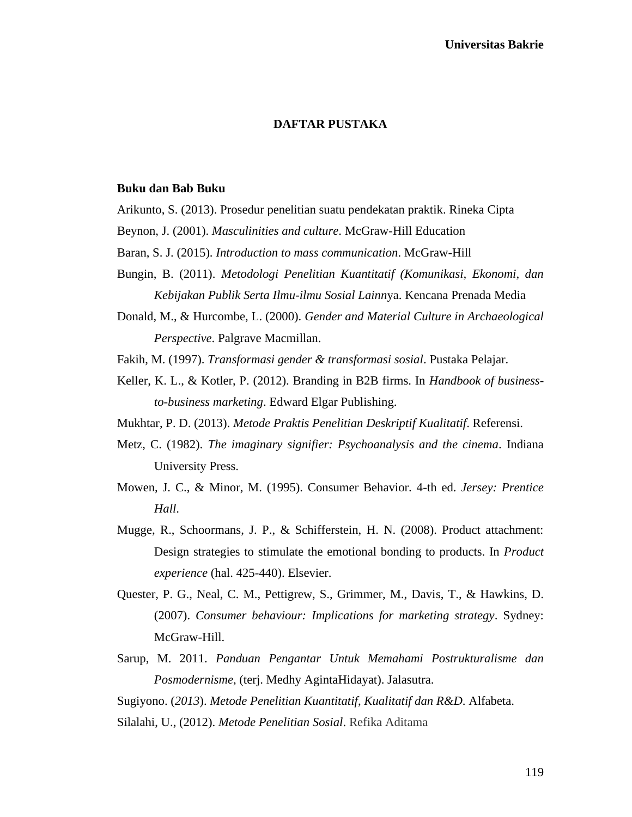# **DAFTAR PUSTAKA**

#### **Buku dan Bab Buku**

- Arikunto, S. (2013). Prosedur penelitian suatu pendekatan praktik. Rineka Cipta
- Beynon, J. (2001). *Masculinities and culture*. McGraw-Hill Education
- Baran, S. J. (2015). *Introduction to mass communication*. McGraw-Hill
- Bungin, B. (2011). *Metodologi Penelitian Kuantitatif (Komunikasi, Ekonomi, dan Kebijakan Publik Serta Ilmu-ilmu Sosial Lainn*ya. Kencana Prenada Media
- Donald, M., & Hurcombe, L. (2000). *Gender and Material Culture in Archaeological Perspective*. Palgrave Macmillan.

Fakih, M. (1997). *Transformasi gender & transformasi sosial*. Pustaka Pelajar.

- Keller, K. L., & Kotler, P. (2012). Branding in B2B firms. In *Handbook of businessto-business marketing*. Edward Elgar Publishing.
- Mukhtar, P. D. (2013). *Metode Praktis Penelitian Deskriptif Kualitatif*. Referensi.
- Metz, C. (1982). *The imaginary signifier: Psychoanalysis and the cinema*. Indiana University Press.
- Mowen, J. C., & Minor, M. (1995). Consumer Behavior. 4-th ed. *Jersey: Prentice Hall*.
- Mugge, R., Schoormans, J. P., & Schifferstein, H. N. (2008). Product attachment: Design strategies to stimulate the emotional bonding to products. In *Product experience* (hal. 425-440). Elsevier.
- Quester, P. G., Neal, C. M., Pettigrew, S., Grimmer, M., Davis, T., & Hawkins, D. (2007). *Consumer behaviour: Implications for marketing strategy*. Sydney: McGraw-Hill.
- Sarup, M. 2011. *Panduan Pengantar Untuk Memahami Postrukturalisme dan Posmodernisme*, (terj. Medhy AgintaHidayat). Jalasutra.

Sugiyono. (*2013*). *Metode Penelitian Kuantitatif*, *Kualitatif dan R&D*. Alfabeta.

Silalahi, U., (2012). *Metode Penelitian Sosial*. Refika Aditama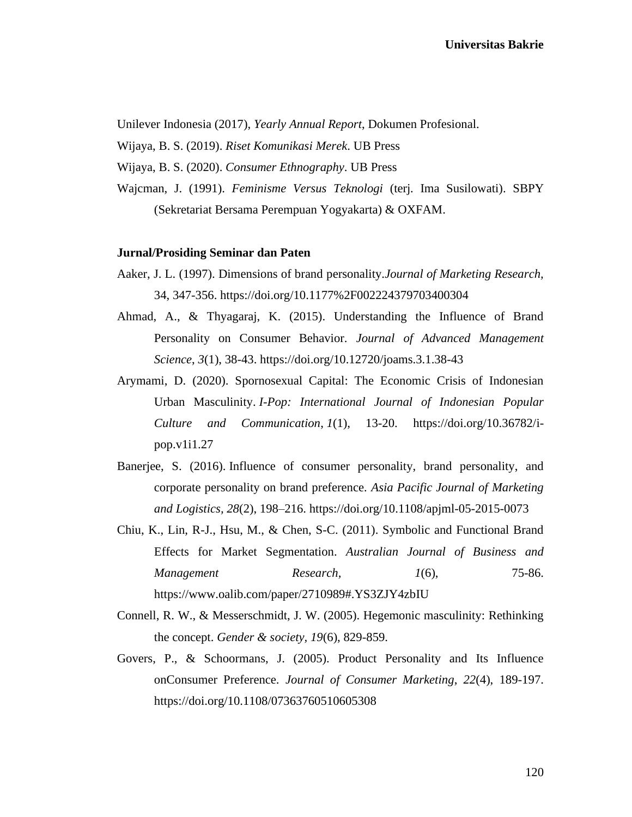Unilever Indonesia (2017), *Yearly Annual Report*, Dokumen Profesional.

- Wijaya, B. S. (2019). *Riset Komunikasi Merek*. UB Press
- Wijaya, B. S. (2020). *Consumer Ethnography*. UB Press
- Wajcman, J. (1991). *Feminisme Versus Teknologi* (terj*.* Ima Susilowati). SBPY (Sekretariat Bersama Perempuan Yogyakarta) & OXFAM.

### **Jurnal/Prosiding Seminar dan Paten**

- Aaker, J. L. (1997). Dimensions of brand personality.*Journal of Marketing Research,*  34, 347-356. https://doi.org/10.1177%2F002224379703400304
- Ahmad, A., & Thyagaraj, K. (2015). Understanding the Influence of Brand Personality on Consumer Behavior. *Journal of Advanced Management Science*, *3*(1), 38-43. https://doi.org/10.12720/joams.3.1.38-43
- Arymami, D. (2020). Spornosexual Capital: The Economic Crisis of Indonesian Urban Masculinity. *I-Pop: International Journal of Indonesian Popular Culture and Communication*, *1*(1), 13-20. https://doi.org/10.36782/ipop.v1i1.27
- Banerjee, S. (2016). Influence of consumer personality, brand personality, and corporate personality on brand preference*. Asia Pacific Journal of Marketing and Logistics, 28*(2), 198–216. https://doi.org/10.1108/apjml-05-2015-0073
- Chiu, K., Lin, R-J., Hsu, M., & Chen, S-C. (2011). Symbolic and Functional Brand Effects for Market Segmentation. *Australian Journal of Business and Management Research, 1*(6), 75-86. https://www.oalib.com/paper/2710989#.YS3ZJY4zbIU
- Connell, R. W., & Messerschmidt, J. W. (2005). Hegemonic masculinity: Rethinking the concept. *Gender & society, 19*(6), 829-859.
- Govers, P., & Schoormans, J. (2005). Product Personality and Its Influence onConsumer Preference. *Journal of Consumer Marketing*, *22*(4), 189-197. https://doi.org/10.1108/07363760510605308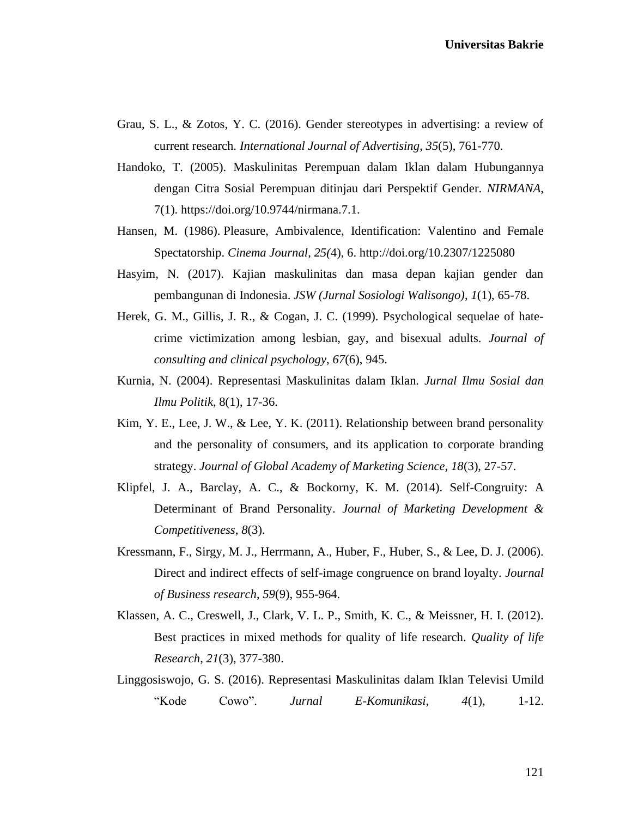- Grau, S. L., & Zotos, Y. C. (2016). Gender stereotypes in advertising: a review of current research. *International Journal of Advertising*, *35*(5), 761-770.
- Handoko, T. (2005). Maskulinitas Perempuan dalam Iklan dalam Hubungannya dengan Citra Sosial Perempuan ditinjau dari Perspektif Gender. *NIRMANA*, 7(1). https://doi.org/10.9744/nirmana.7.1.
- Hansen, M. (1986). Pleasure, Ambivalence, Identification: Valentino and Female Spectatorship. *Cinema Journal, 25(*4), 6. http://doi.org/10.2307/1225080
- Hasyim, N. (2017). Kajian maskulinitas dan masa depan kajian gender dan pembangunan di Indonesia. *JSW (Jurnal Sosiologi Walisongo)*, *1*(1), 65-78.
- Herek, G. M., Gillis, J. R., & Cogan, J. C. (1999). Psychological sequelae of hatecrime victimization among lesbian, gay, and bisexual adults. *Journal of consulting and clinical psychology*, *67*(6), 945.
- Kurnia, N. (2004). Representasi Maskulinitas dalam Iklan*. Jurnal Ilmu Sosial dan Ilmu Politik*, 8(1), 17-36.
- Kim, Y. E., Lee, J. W., & Lee, Y. K. (2011). Relationship between brand personality and the personality of consumers, and its application to corporate branding strategy. *Journal of Global Academy of Marketing Science*, *18*(3), 27-57.
- Klipfel, J. A., Barclay, A. C., & Bockorny, K. M. (2014). Self-Congruity: A Determinant of Brand Personality. *Journal of Marketing Development & Competitiveness*, *8*(3).
- Kressmann, F., Sirgy, M. J., Herrmann, A., Huber, F., Huber, S., & Lee, D. J. (2006). Direct and indirect effects of self-image congruence on brand loyalty. *Journal of Business research*, *59*(9), 955-964.
- Klassen, A. C., Creswell, J., Clark, V. L. P., Smith, K. C., & Meissner, H. I. (2012). Best practices in mixed methods for quality of life research. *Quality of life Research*, *21*(3), 377-380.
- Linggosiswojo, G. S. (2016). Representasi Maskulinitas dalam Iklan Televisi Umild "Kode Cowo". *Jurnal E-Komunikasi*, *4*(1), 1-12.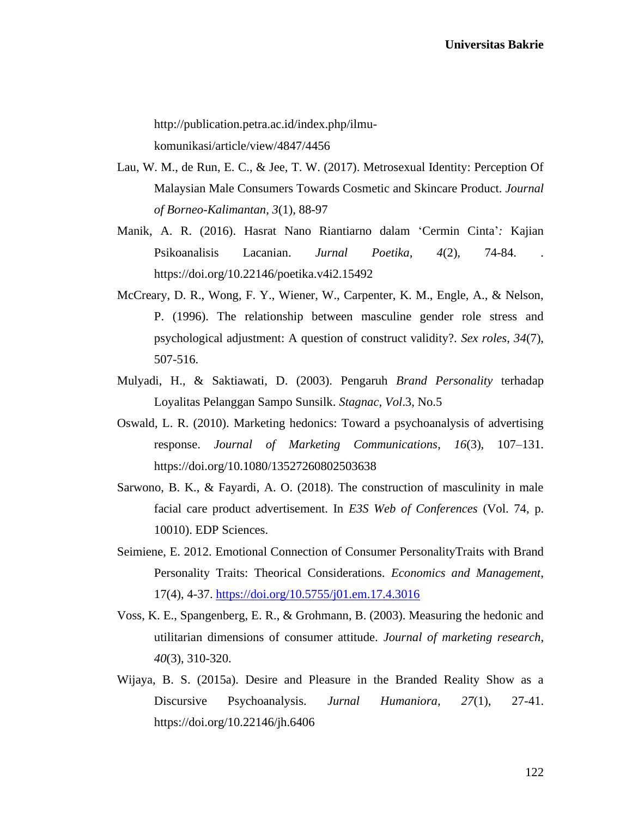http://publication.petra.ac.id/index.php/ilmukomunikasi/article/view/4847/4456

- Lau, W. M., de Run, E. C., & Jee, T. W. (2017). Metrosexual Identity: Perception Of Malaysian Male Consumers Towards Cosmetic and Skincare Product. *Journal of Borneo-Kalimantan, 3*(1), 88-97
- Manik, A. R. (2016). Hasrat Nano Riantiarno dalam 'Cermin Cinta'*:* Kajian Psikoanalisis Lacanian. *Jurnal Poetika, 4*(2), 74-84. . https://doi.org/10.22146/poetika.v4i2.15492
- McCreary, D. R., Wong, F. Y., Wiener, W., Carpenter, K. M., Engle, A., & Nelson, P. (1996). The relationship between masculine gender role stress and psychological adjustment: A question of construct validity?. *Sex roles*, *34*(7), 507-516.
- Mulyadi, H., & Saktiawati, D. (2003). Pengaruh *Brand Personality* terhadap Loyalitas Pelanggan Sampo Sunsilk. *Stagnac, Vol*.3, No.5
- Oswald, L. R. (2010). Marketing hedonics: Toward a psychoanalysis of advertising response. *Journal of Marketing Communications*, *16*(3), 107–131. https://doi.org/10.1080/13527260802503638
- Sarwono, B. K., & Fayardi, A. O. (2018). The construction of masculinity in male facial care product advertisement. In *E3S Web of Conferences* (Vol. 74, p. 10010). EDP Sciences.
- Seimiene, E. 2012. Emotional Connection of Consumer PersonalityTraits with Brand Personality Traits: Theorical Considerations. *Economics and Management*, 17(4), 4-37.<https://doi.org/10.5755/j01.em.17.4.3016>
- Voss, K. E., Spangenberg, E. R., & Grohmann, B. (2003). Measuring the hedonic and utilitarian dimensions of consumer attitude. *Journal of marketing research*, *40*(3), 310-320.
- Wijaya, B. S. (2015a). Desire and Pleasure in the Branded Reality Show as a Discursive Psychoanalysis. *Jurnal Humaniora, 27*(1), 27-41. https://doi.org/10.22146/jh.6406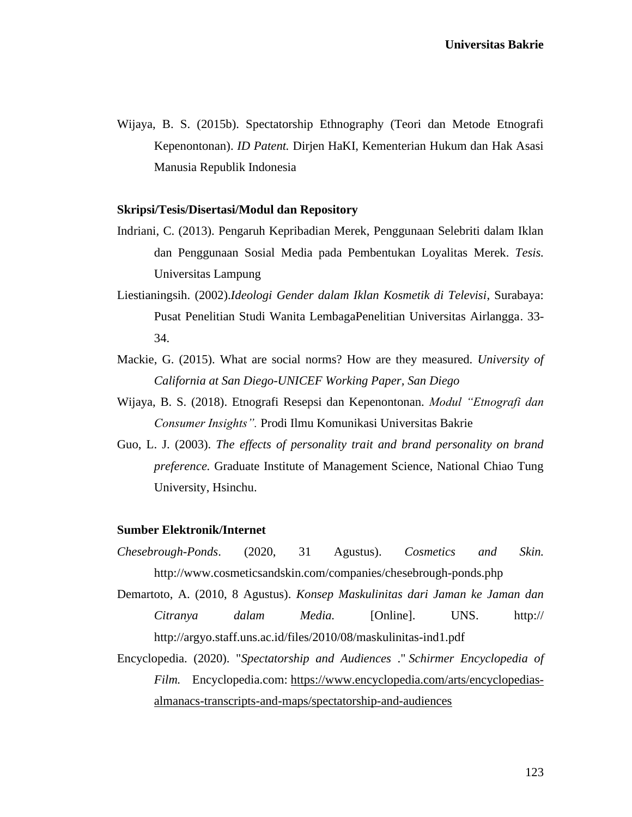Wijaya, B. S. (2015b). Spectatorship Ethnography (Teori dan Metode Etnografi Kepenontonan). *ID Patent.* Dirjen HaKI, Kementerian Hukum dan Hak Asasi Manusia Republik Indonesia

### **Skripsi/Tesis/Disertasi/Modul dan Repository**

- Indriani, C. (2013). Pengaruh Kepribadian Merek, Penggunaan Selebriti dalam Iklan dan Penggunaan Sosial Media pada Pembentukan Loyalitas Merek. *Tesis.* Universitas Lampung
- Liestianingsih. (2002).*Ideologi Gender dalam Iklan Kosmetik di Televisi*, Surabaya: Pusat Penelitian Studi Wanita LembagaPenelitian Universitas Airlangga. 33- 34.
- Mackie, G. (2015). What are social norms? How are they measured. *University of California at San Diego-UNICEF Working Paper, San Diego*
- Wijaya, B. S. (2018). Etnografi Resepsi dan Kepenontonan. *Modul "Etnografi dan Consumer Insights".* Prodi Ilmu Komunikasi Universitas Bakrie
- Guo, L. J. (2003). *The effects of personality trait and brand personality on brand preference.* Graduate Institute of Management Science, National Chiao Tung University, Hsinchu.

## **Sumber Elektronik/Internet**

- *Chesebrough-Ponds*. (2020, 31 Agustus). *Cosmetics and Skin.*  http://www.cosmeticsandskin.com/companies/chesebrough-ponds.php
- Demartoto, A. (2010, 8 Agustus). *Konsep Maskulinitas dari Jaman ke Jaman dan Citranya dalam Media.* [Online]. UNS. http:// http://argyo.staff.uns.ac.id/files/2010/08/maskulinitas-ind1.pdf
- Encyclopedia. (2020). "*Spectatorship and Audiences* ." *Schirmer Encyclopedia of Film.* Encyclopedia.com: [https://www.encyclopedia.com/arts/encyclopedias](https://www.encyclopedia.com/arts/encyclopedias-almanacs-transcripts-and-maps/spectatorship-and-audiences)[almanacs-transcripts-and-maps/spectatorship-and-audiences](https://www.encyclopedia.com/arts/encyclopedias-almanacs-transcripts-and-maps/spectatorship-and-audiences)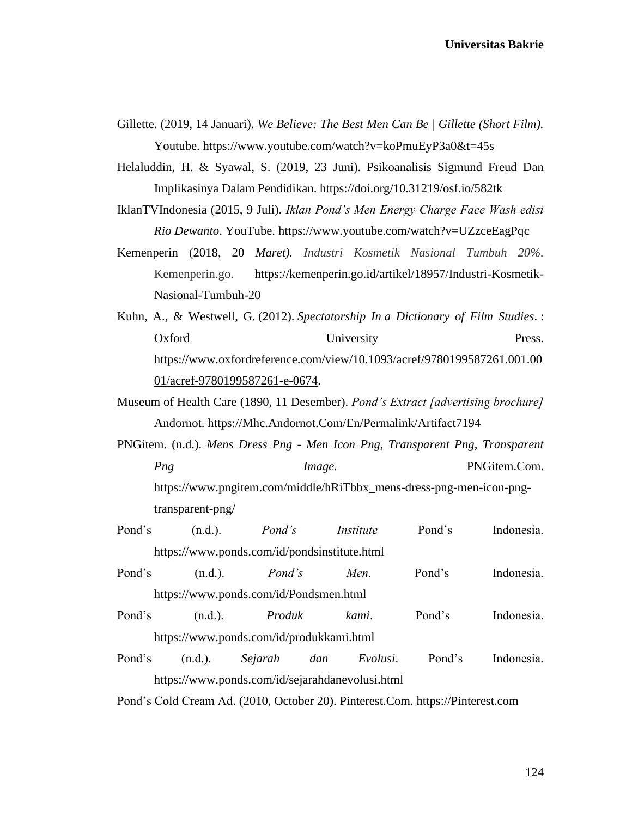- Gillette. (2019, 14 Januari). *We Believe: The Best Men Can Be | Gillette (Short Film).* Youtube. https://www.youtube.com/watch?v=koPmuEyP3a0&t=45s
- Helaluddin, H. & Syawal, S. (2019, 23 Juni). Psikoanalisis Sigmund Freud Dan Implikasinya Dalam Pendidikan. https://doi.org/10.31219/osf.io/582tk
- IklanTVIndonesia (2015, 9 Juli). *Iklan Pond's Men Energy Charge Face Wash edisi Rio Dewanto*. YouTube. https://www.youtube.com/watch?v=UZzceEagPqc
- Kemenperin (2018, 20 *Maret). Industri Kosmetik Nasional Tumbuh 20%.* Kemenperin.go. https://kemenperin.go.id/artikel/18957/Industri-Kosmetik-Nasional-Tumbuh-20
- Kuhn, A., & Westwell, G. (2012). *Spectatorship In a Dictionary of Film Studies*. : Oxford University Press. [https://www.oxfordreference.com/view/10.1093/acref/9780199587261.001.00](https://www.oxfordreference.com/view/10.1093/acref/9780199587261.001.0001/acref-9780199587261-e-0674) [01/acref-9780199587261-e-0674.](https://www.oxfordreference.com/view/10.1093/acref/9780199587261.001.0001/acref-9780199587261-e-0674)
- Museum of Health Care (1890, 11 Desember). *Pond's Extract [advertising brochure]*  Andornot. https://Mhc.Andornot.Com/En/Permalink/Artifact7194
- PNGitem. (n.d.). *Mens Dress Png - Men Icon Png, Transparent Png, Transparent Png Image. PNGitem.Com.* https://www.pngitem.com/middle/hRiTbbx\_mens-dress-png-men-icon-pngtransparent-png/
- Pond's (n.d.). *Pond's Institute* Pond's Indonesia. https://www.ponds.com/id/pondsinstitute.html
- Pond's (n.d.). *Pond's Men*. Pond's Indonesia. https://www.ponds.com/id/Pondsmen.html
- Pond's (n.d.). *Produk kami*. Pond's Indonesia. https://www.ponds.com/id/produkkami.html
- Pond's (n.d.). *Sejarah dan Evolusi*. Pond's Indonesia. https://www.ponds.com/id/sejarahdanevolusi.html

Pond's Cold Cream Ad. (2010, October 20). Pinterest.Com. https://Pinterest.com